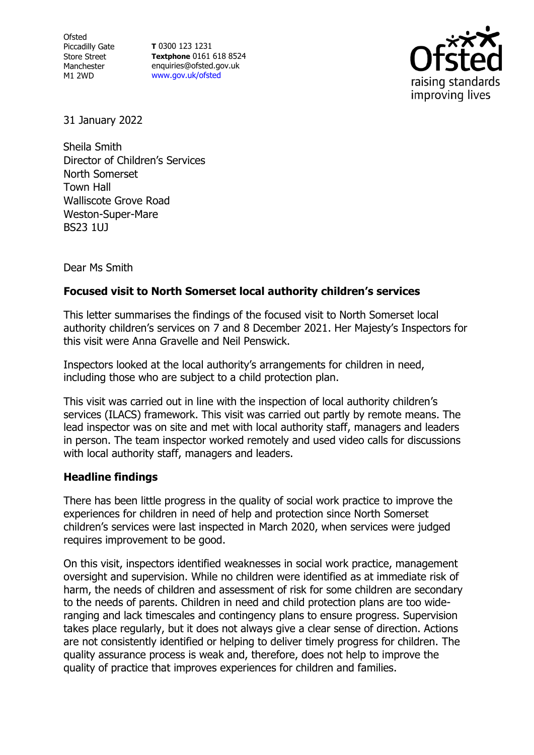Ofsted Piccadilly Gate Store Street Manchester M1 2WD

**T** 0300 123 1231 **Textphone** 0161 618 8524 enquiries@ofsted.gov.uk [www.gov.uk/ofsted](http://www.gov.uk/ofsted)



31 January 2022

Sheila Smith Director of Children's Services North Somerset Town Hall Walliscote Grove Road Weston-Super-Mare BS23 1UJ

Dear Ms Smith

## **Focused visit to North Somerset local authority children's services**

This letter summarises the findings of the focused visit to North Somerset local authority children's services on 7 and 8 December 2021. Her Majesty's Inspectors for this visit were Anna Gravelle and Neil Penswick.

Inspectors looked at the local authority's arrangements for children in need, including those who are subject to a child protection plan.

This visit was carried out in line with the inspection of local authority children's services (ILACS) framework. This visit was carried out partly by remote means. The lead inspector was on site and met with local authority staff, managers and leaders in person. The team inspector worked remotely and used video calls for discussions with local authority staff, managers and leaders.

## **Headline findings**

There has been little progress in the quality of social work practice to improve the experiences for children in need of help and protection since North Somerset children's services were last inspected in March 2020, when services were judged requires improvement to be good.

On this visit, inspectors identified weaknesses in social work practice, management oversight and supervision. While no children were identified as at immediate risk of harm, the needs of children and assessment of risk for some children are secondary to the needs of parents. Children in need and child protection plans are too wideranging and lack timescales and contingency plans to ensure progress. Supervision takes place regularly, but it does not always give a clear sense of direction. Actions are not consistently identified or helping to deliver timely progress for children. The quality assurance process is weak and, therefore, does not help to improve the quality of practice that improves experiences for children and families.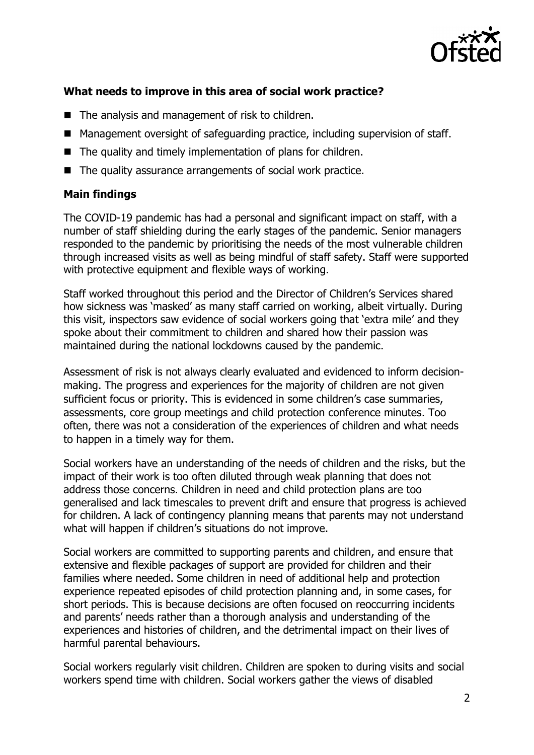

## **What needs to improve in this area of social work practice?**

- The analysis and management of risk to children.
- Management oversight of safeguarding practice, including supervision of staff.
- The quality and timely implementation of plans for children.
- The quality assurance arrangements of social work practice.

## **Main findings**

The COVID-19 pandemic has had a personal and significant impact on staff, with a number of staff shielding during the early stages of the pandemic. Senior managers responded to the pandemic by prioritising the needs of the most vulnerable children through increased visits as well as being mindful of staff safety. Staff were supported with protective equipment and flexible ways of working.

Staff worked throughout this period and the Director of Children's Services shared how sickness was 'masked' as many staff carried on working, albeit virtually. During this visit, inspectors saw evidence of social workers going that 'extra mile' and they spoke about their commitment to children and shared how their passion was maintained during the national lockdowns caused by the pandemic.

Assessment of risk is not always clearly evaluated and evidenced to inform decisionmaking. The progress and experiences for the majority of children are not given sufficient focus or priority. This is evidenced in some children's case summaries, assessments, core group meetings and child protection conference minutes. Too often, there was not a consideration of the experiences of children and what needs to happen in a timely way for them.

Social workers have an understanding of the needs of children and the risks, but the impact of their work is too often diluted through weak planning that does not address those concerns. Children in need and child protection plans are too generalised and lack timescales to prevent drift and ensure that progress is achieved for children. A lack of contingency planning means that parents may not understand what will happen if children's situations do not improve.

Social workers are committed to supporting parents and children, and ensure that extensive and flexible packages of support are provided for children and their families where needed. Some children in need of additional help and protection experience repeated episodes of child protection planning and, in some cases, for short periods. This is because decisions are often focused on reoccurring incidents and parents' needs rather than a thorough analysis and understanding of the experiences and histories of children, and the detrimental impact on their lives of harmful parental behaviours.

Social workers regularly visit children. Children are spoken to during visits and social workers spend time with children. Social workers gather the views of disabled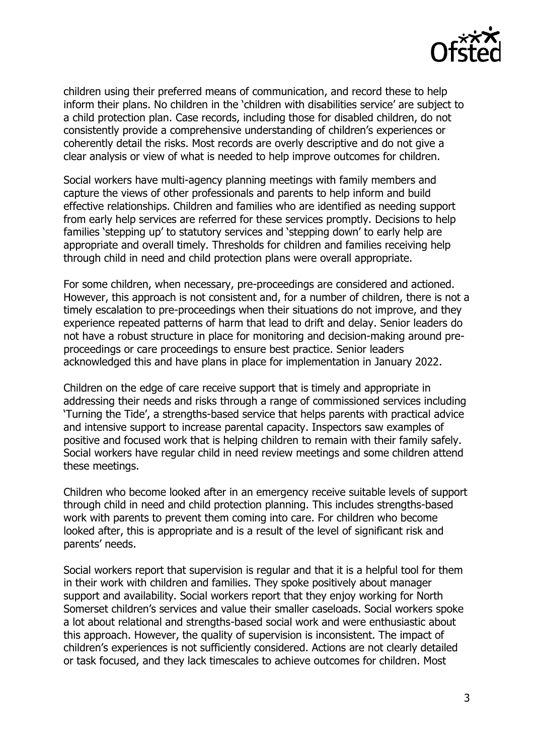

children using their preferred means of communication, and record these to help inform their plans. No children in the 'children with disabilities service' are subject to a child protection plan. Case records, including those for disabled children, do not consistently provide a comprehensive understanding of children's experiences or coherently detail the risks. Most records are overly descriptive and do not give a clear analysis or view of what is needed to help improve outcomes for children.

Social workers have multi-agency planning meetings with family members and capture the views of other professionals and parents to help inform and build effective relationships. Children and families who are identified as needing support from early help services are referred for these services promptly. Decisions to help families 'stepping up' to statutory services and 'stepping down' to early help are appropriate and overall timely. Thresholds for children and families receiving help through child in need and child protection plans were overall appropriate.

For some children, when necessary, pre-proceedings are considered and actioned. However, this approach is not consistent and, for a number of children, there is not a timely escalation to pre-proceedings when their situations do not improve, and they experience repeated patterns of harm that lead to drift and delay. Senior leaders do not have a robust structure in place for monitoring and decision-making around preproceedings or care proceedings to ensure best practice. Senior leaders acknowledged this and have plans in place for implementation in January 2022.

Children on the edge of care receive support that is timely and appropriate in addressing their needs and risks through a range of commissioned services including 'Turning the Tide', a strengths-based service that helps parents with practical advice and intensive support to increase parental capacity. Inspectors saw examples of positive and focused work that is helping children to remain with their family safely. Social workers have regular child in need review meetings and some children attend these meetings.

Children who become looked after in an emergency receive suitable levels of support through child in need and child protection planning. This includes strengths-based work with parents to prevent them coming into care. For children who become looked after, this is appropriate and is a result of the level of significant risk and parents' needs.

Social workers report that supervision is regular and that it is a helpful tool for them in their work with children and families. They spoke positively about manager support and availability. Social workers report that they enjoy working for North Somerset children's services and value their smaller caseloads. Social workers spoke a lot about relational and strengths-based social work and were enthusiastic about this approach. However, the quality of supervision is inconsistent. The impact of children's experiences is not sufficiently considered. Actions are not clearly detailed or task focused, and they lack timescales to achieve outcomes for children. Most